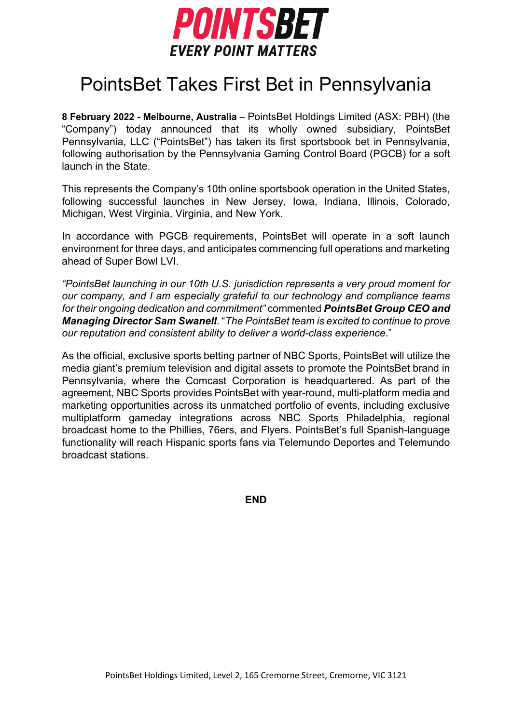

## PointsBet Takes First Bet in Pennsylvania

**8 February 2022 - Melbourne, Australia** – PointsBet Holdings Limited (ASX: PBH) (the "Company") today announced that its wholly owned subsidiary, PointsBet Pennsylvania, LLC ("PointsBet") has taken its first sportsbook bet in Pennsylvania, following authorisation by the Pennsylvania Gaming Control Board (PGCB) for a soft launch in the State.

This represents the Company's 10th online sportsbook operation in the United States, following successful launches in New Jersey, Iowa, Indiana, Illinois, Colorado, Michigan, West Virginia, Virginia, and New York.

In accordance with PGCB requirements, PointsBet will operate in a soft launch environment for three days, and anticipates commencing full operations and marketing ahead of Super Bowl LVI.

*"PointsBet launching in our 10th U.S. jurisdiction represents a very proud moment for our company, and I am especially grateful to our technology and compliance teams for their ongoing dedication and commitment"* commented *PointsBet Group CEO and Managing Director Sam Swanell*. "*The PointsBet team is excited to continue to prove our reputation and consistent ability to deliver a world-class experience*."

As the official, exclusive sports betting partner of NBC Sports, PointsBet will utilize the media giant's premium television and digital assets to promote the PointsBet brand in Pennsylvania, where the Comcast Corporation is headquartered. As part of the agreement, NBC Sports provides PointsBet with year-round, multi-platform media and marketing opportunities across its unmatched portfolio of events, including exclusive multiplatform gameday integrations across NBC Sports Philadelphia, regional broadcast home to the Phillies, 76ers, and Flyers. PointsBet's full Spanish-language functionality will reach Hispanic sports fans via Telemundo Deportes and Telemundo broadcast stations.

**END**